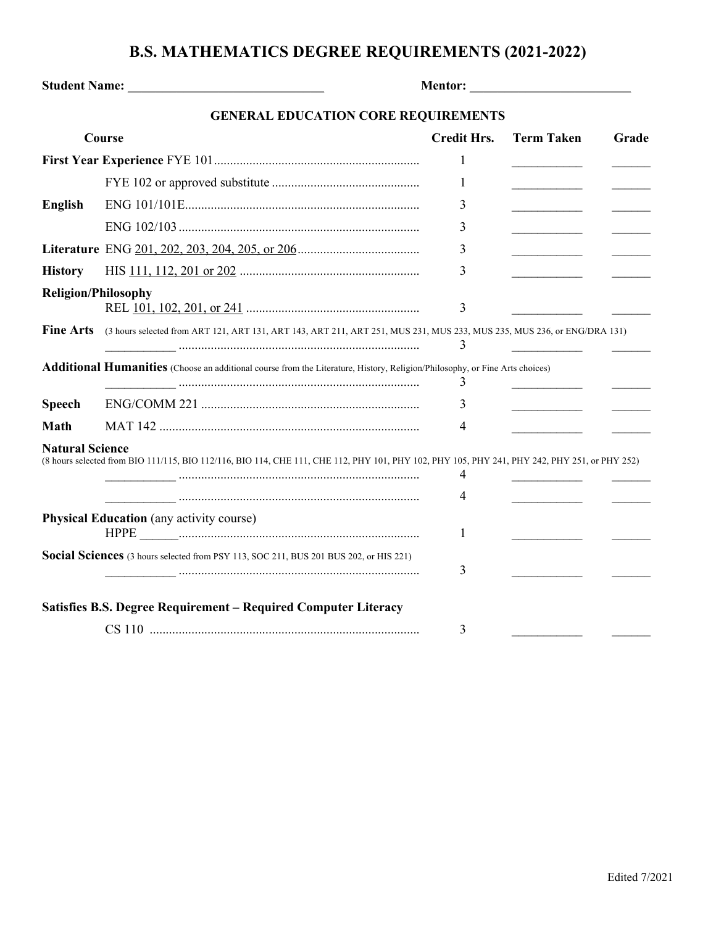## **B.S. MATHEMATICS DEGREE REQUIREMENTS (2021-2022)**

| Student Name: Name:                                                                   |                                                                                                                                               |                    |                   |       |
|---------------------------------------------------------------------------------------|-----------------------------------------------------------------------------------------------------------------------------------------------|--------------------|-------------------|-------|
|                                                                                       | <b>GENERAL EDUCATION CORE REQUIREMENTS</b>                                                                                                    |                    |                   |       |
|                                                                                       | Course                                                                                                                                        | <b>Credit Hrs.</b> | <b>Term Taken</b> | Grade |
|                                                                                       |                                                                                                                                               | 1                  |                   |       |
|                                                                                       |                                                                                                                                               | 1                  |                   |       |
| <b>English</b>                                                                        |                                                                                                                                               | 3                  |                   |       |
|                                                                                       |                                                                                                                                               | 3                  |                   |       |
|                                                                                       |                                                                                                                                               | 3                  |                   |       |
| <b>History</b>                                                                        |                                                                                                                                               | 3                  |                   |       |
|                                                                                       | <b>Religion/Philosophy</b>                                                                                                                    | 3                  |                   |       |
| <b>Fine Arts</b>                                                                      | (3 hours selected from ART 121, ART 131, ART 143, ART 211, ART 251, MUS 231, MUS 233, MUS 235, MUS 236, or ENG/DRA 131)                       | 3                  |                   |       |
|                                                                                       | <b>Additional Humanities</b> (Choose an additional course from the Literature, History, Religion/Philosophy, or Fine Arts choices)            | 3                  |                   |       |
| <b>Speech</b>                                                                         |                                                                                                                                               | 3                  |                   |       |
| <b>Math</b>                                                                           |                                                                                                                                               | 4                  |                   |       |
| <b>Natural Science</b>                                                                | (8 hours selected from BIO 111/115, BIO 112/116, BIO 114, CHE 111, CHE 112, PHY 101, PHY 102, PHY 105, PHY 241, PHY 242, PHY 251, or PHY 252) | 4<br>4             |                   |       |
| <b>Physical Education</b> (any activity course)                                       |                                                                                                                                               | 1                  |                   |       |
| Social Sciences (3 hours selected from PSY 113, SOC 211, BUS 201 BUS 202, or HIS 221) |                                                                                                                                               | 3                  |                   |       |
|                                                                                       | Satisfies B.S. Degree Requirement - Required Computer Literacy                                                                                | 3                  |                   |       |